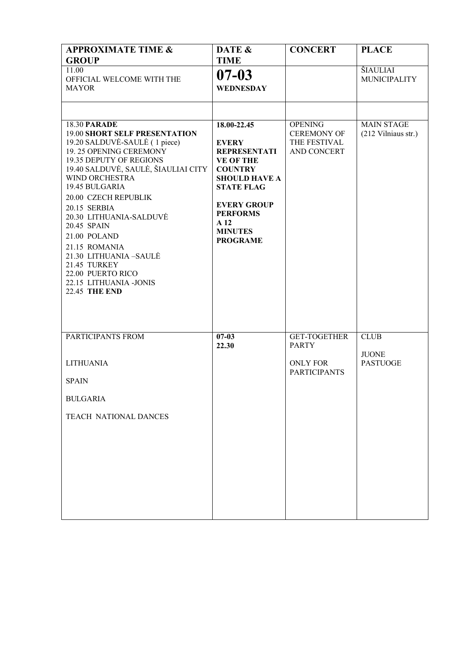| <b>APPROXIMATE TIME &amp;</b>                                                                                                                     | DATE &                                                                     | <b>CONCERT</b>                                                      | <b>PLACE</b>                             |
|---------------------------------------------------------------------------------------------------------------------------------------------------|----------------------------------------------------------------------------|---------------------------------------------------------------------|------------------------------------------|
| <b>GROUP</b>                                                                                                                                      | <b>TIME</b>                                                                |                                                                     |                                          |
| 11.00<br>OFFICIAL WELCOME WITH THE                                                                                                                | $07 - 03$                                                                  |                                                                     | ŠIAULIAI<br><b>MUNICIPALITY</b>          |
| <b>MAYOR</b>                                                                                                                                      | <b>WEDNESDAY</b>                                                           |                                                                     |                                          |
|                                                                                                                                                   |                                                                            |                                                                     |                                          |
|                                                                                                                                                   |                                                                            |                                                                     |                                          |
| <b>18.30 PARADE</b><br><b>19.00 SHORT SELF PRESENTATION</b><br>19.20 SALDUVĖ-SAULĖ (1 piece)<br>19.25 OPENING CEREMONY<br>19.35 DEPUTY OF REGIONS | $18.00 - 22.45$<br><b>EVERY</b><br><b>REPRESENTATI</b><br><b>VE OF THE</b> | <b>OPENING</b><br><b>CEREMONY OF</b><br>THE FESTIVAL<br>AND CONCERT | <b>MAIN STAGE</b><br>(212 Vilniaus str.) |
| 19.40 SALDUVĖ, SAULĖ, ŠIAULIAI CITY<br>WIND ORCHESTRA<br>19.45 BULGARIA<br>20.00 CZECH REPUBLIK                                                   | <b>COUNTRY</b><br><b>SHOULD HAVE A</b><br><b>STATE FLAG</b>                |                                                                     |                                          |
| 20.15 SERBIA<br>20.30 LITHUANIA-SALDUVĖ<br>20.45 SPAIN<br>21.00 POLAND                                                                            | <b>EVERY GROUP</b><br><b>PERFORMS</b><br>A 12<br><b>MINUTES</b>            |                                                                     |                                          |
| 21.15 ROMANIA<br>21.30 LITHUANIA-SAULĖ<br>21.45 TURKEY                                                                                            | <b>PROGRAME</b>                                                            |                                                                     |                                          |
| 22.00 PUERTO RICO<br>22.15 LITHUANIA -JONIS                                                                                                       |                                                                            |                                                                     |                                          |
| <b>22.45 THE END</b>                                                                                                                              |                                                                            |                                                                     |                                          |
| PARTICIPANTS FROM                                                                                                                                 | $07 - 03$<br>22.30                                                         | <b>GET-TOGETHER</b><br><b>PARTY</b>                                 | <b>CLUB</b>                              |
| <b>LITHUANIA</b>                                                                                                                                  |                                                                            | <b>ONLY FOR</b>                                                     | <b>JUONE</b><br><b>PASTUOGE</b>          |
| <b>SPAIN</b>                                                                                                                                      |                                                                            | <b>PARTICIPANTS</b>                                                 |                                          |
| <b>BULGARIA</b>                                                                                                                                   |                                                                            |                                                                     |                                          |
| <b>TEACH NATIONAL DANCES</b>                                                                                                                      |                                                                            |                                                                     |                                          |
|                                                                                                                                                   |                                                                            |                                                                     |                                          |
|                                                                                                                                                   |                                                                            |                                                                     |                                          |
|                                                                                                                                                   |                                                                            |                                                                     |                                          |
|                                                                                                                                                   |                                                                            |                                                                     |                                          |
|                                                                                                                                                   |                                                                            |                                                                     |                                          |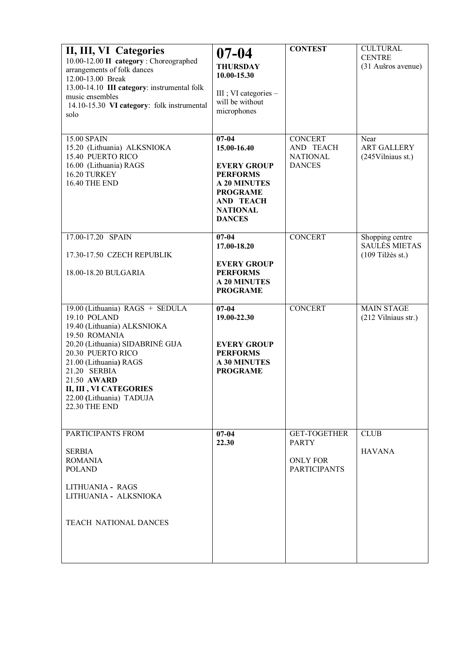| II, III, VI Categories<br>10.00-12.00 II category : Choreographed<br>arrangements of folk dances<br>12.00-13.00 Break<br>13.00-14.10 III category: instrumental folk<br>music ensembles<br>14.10-15.30 VI category: folk instrumental<br>solo                                                   | $07 - 04$<br><b>THURSDAY</b><br>10.00-15.30<br>III ; VI categories $-$<br>will be without<br>microphones                                                            | <b>CONTEST</b>                                                                | <b>CULTURAL</b><br><b>CENTRE</b><br>(31 Aušros avenue)        |
|-------------------------------------------------------------------------------------------------------------------------------------------------------------------------------------------------------------------------------------------------------------------------------------------------|---------------------------------------------------------------------------------------------------------------------------------------------------------------------|-------------------------------------------------------------------------------|---------------------------------------------------------------|
| <b>15.00 SPAIN</b><br>15.20 (Lithuania) ALKSNIOKA<br><b>15.40 PUERTO RICO</b><br>16.00 (Lithuania) RAGS<br>16.20 TURKEY<br><b>16.40 THE END</b>                                                                                                                                                 | $07 - 04$<br>15.00-16.40<br><b>EVERY GROUP</b><br><b>PERFORMS</b><br><b>A 20 MINUTES</b><br><b>PROGRAME</b><br><b>AND TEACH</b><br><b>NATIONAL</b><br><b>DANCES</b> | <b>CONCERT</b><br>AND TEACH<br><b>NATIONAL</b><br><b>DANCES</b>               | Near<br><b>ART GALLERY</b><br>(245 Vilniaus st.)              |
| 17.00-17.20 SPAIN<br>17.30-17.50 CZECH REPUBLIK<br>18.00-18.20 BULGARIA                                                                                                                                                                                                                         | $07 - 04$<br>17.00-18.20<br><b>EVERY GROUP</b><br><b>PERFORMS</b><br><b>A 20 MINUTES</b><br><b>PROGRAME</b>                                                         | <b>CONCERT</b>                                                                | Shopping centre<br><b>SAULĖS MIETAS</b><br>$(109$ Tilžės st.) |
| 19.00 (Lithuania) RAGS + SEDULA<br>19.10 POLAND<br>19.40 (Lithuania) ALKSNIOKA<br>19.50 ROMANIA<br>20.20 (Lithuania) SIDABRINĖ GIJA<br>20.30 PUERTO RICO<br>21.00 (Lithuania) RAGS<br>21.20 SERBIA<br>21.50 AWARD<br>II, III, VI CATEGORIES<br>22.00 (Lithuania) TADUJA<br><b>22.30 THE END</b> | $07 - 04$<br>19.00-22.30<br><b>EVERY GROUP</b><br><b>PERFORMS</b><br><b>A 30 MINUTES</b><br><b>PROGRAME</b>                                                         | <b>CONCERT</b>                                                                | <b>MAIN STAGE</b><br>(212 Vilniaus str.)                      |
| PARTICIPANTS FROM<br><b>SERBIA</b><br><b>ROMANIA</b><br><b>POLAND</b><br>LITHUANIA - RAGS<br>LITHUANIA - ALKSNIOKA<br><b>TEACH NATIONAL DANCES</b>                                                                                                                                              | $07 - 04$<br>22.30                                                                                                                                                  | <b>GET-TOGETHER</b><br><b>PARTY</b><br><b>ONLY FOR</b><br><b>PARTICIPANTS</b> | <b>CLUB</b><br><b>HAVANA</b>                                  |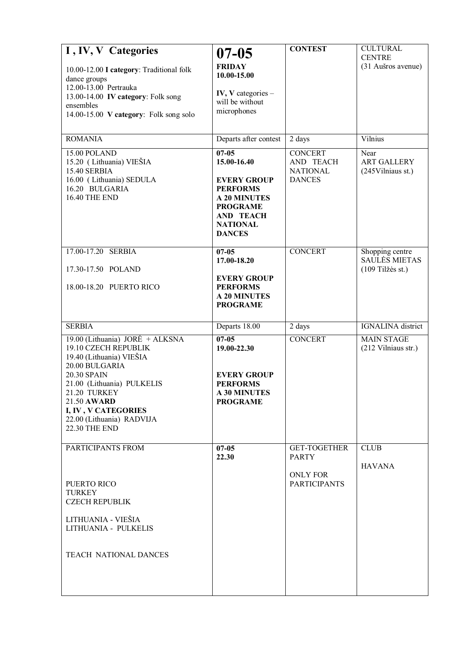| I, IV, V Categories<br>10.00-12.00 I category: Traditional folk<br>dance groups<br>12.00-13.00 Pertrauka<br>13.00-14.00 IV category: Folk song<br>ensembles<br>14.00-15.00 V category: Folk song solo                                                         | $07 - 05$<br><b>FRIDAY</b><br>10.00-15.00<br>IV, V categories $-$<br>will be without<br>microphones                                                    | <b>CONTEST</b>                                | <b>CULTURAL</b><br><b>CENTRE</b><br>(31 Aušros avenue) |
|---------------------------------------------------------------------------------------------------------------------------------------------------------------------------------------------------------------------------------------------------------------|--------------------------------------------------------------------------------------------------------------------------------------------------------|-----------------------------------------------|--------------------------------------------------------|
| <b>ROMANIA</b><br>15.00 POLAND                                                                                                                                                                                                                                | Departs after contest<br>$07 - 05$                                                                                                                     | 2 days<br><b>CONCERT</b>                      | Vilnius<br>Near                                        |
| 15.20 (Lithuania) VIEŠIA<br>15.40 SERBIA<br>16.00 (Lithuania) SEDULA<br>16.20 BULGARIA<br><b>16.40 THE END</b>                                                                                                                                                | 15.00-16.40<br><b>EVERY GROUP</b><br><b>PERFORMS</b><br><b>A 20 MINUTES</b><br><b>PROGRAME</b><br><b>AND TEACH</b><br><b>NATIONAL</b><br><b>DANCES</b> | AND TEACH<br><b>NATIONAL</b><br><b>DANCES</b> | <b>ART GALLERY</b><br>(245 Vilniaus st.)               |
| 17.00-17.20 SERBIA<br>17.30-17.50 POLAND                                                                                                                                                                                                                      | $07 - 05$<br>17.00-18.20                                                                                                                               | <b>CONCERT</b>                                | Shopping centre<br>SAULES MIETAS<br>$(109$ Tilžės st.) |
| 18.00-18.20 PUERTO RICO                                                                                                                                                                                                                                       | <b>EVERY GROUP</b><br><b>PERFORMS</b><br><b>A 20 MINUTES</b><br><b>PROGRAME</b>                                                                        |                                               |                                                        |
| <b>SERBIA</b>                                                                                                                                                                                                                                                 | Departs 18.00                                                                                                                                          | 2 days                                        | <b>IGNALINA</b> district                               |
| 19.00 (Lithuania) JORĖ + ALKSNA<br>19.10 CZECH REPUBLIK<br>19.40 (Lithuania) VIEŠIA<br>20.00 BULGARIA<br>20.30 SPAIN<br>21.00 (Lithuania) PULKELIS<br>21.20 TURKEY<br>21.50 AWARD<br>I, IV, V CATEGORIES<br>22.00 (Lithuania) RADVIJA<br><b>22.30 THE END</b> | $07 - 05$<br>19.00-22.30<br><b>EVERY GROUP</b><br><b>PERFORMS</b><br><b>A 30 MINUTES</b><br><b>PROGRAME</b>                                            | <b>CONCERT</b>                                | <b>MAIN STAGE</b><br>(212 Vilniaus str.)               |
| PARTICIPANTS FROM                                                                                                                                                                                                                                             | $07 - 05$<br>22.30                                                                                                                                     | <b>GET-TOGETHER</b><br><b>PARTY</b>           | <b>CLUB</b>                                            |
| PUERTO RICO<br><b>TURKEY</b><br><b>CZECH REPUBLIK</b><br>LITHUANIA - VIEŠIA<br>LITHUANIA - PULKELIS<br><b>TEACH NATIONAL DANCES</b>                                                                                                                           |                                                                                                                                                        | <b>ONLY FOR</b><br><b>PARTICIPANTS</b>        | <b>HAVANA</b>                                          |
|                                                                                                                                                                                                                                                               |                                                                                                                                                        |                                               |                                                        |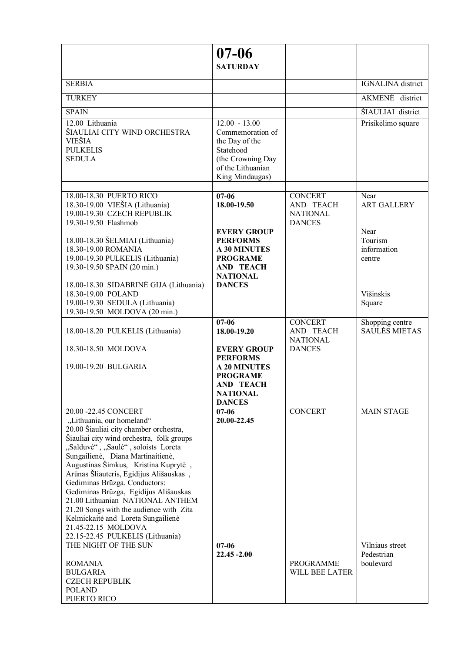|                                                                                  | $07 - 06$<br><b>SATURDAY</b>           |                                                |                                         |
|----------------------------------------------------------------------------------|----------------------------------------|------------------------------------------------|-----------------------------------------|
| <b>SERBIA</b>                                                                    |                                        |                                                | <b>IGNALINA</b> district                |
| <b>TURKEY</b>                                                                    |                                        |                                                | AKMENĖ district                         |
| <b>SPAIN</b>                                                                     |                                        |                                                | ŠIAULIAI district                       |
| 12.00 Lithuania                                                                  | $12.00 - 13.00$                        |                                                | Prisikėlimo square                      |
| ŠIAULIAI CITY WIND ORCHESTRA                                                     | Commemoration of                       |                                                |                                         |
| <b>VIEŠIA</b>                                                                    | the Day of the                         |                                                |                                         |
| <b>PULKELIS</b><br><b>SEDULA</b>                                                 | Statehood<br>(the Crowning Day         |                                                |                                         |
|                                                                                  | of the Lithuanian                      |                                                |                                         |
|                                                                                  | King Mindaugas)                        |                                                |                                         |
| 18.00-18.30 PUERTO RICO                                                          | $07 - 06$                              | <b>CONCERT</b>                                 | Near                                    |
| 18.30-19.00 VIEŠIA (Lithuania)                                                   | 18.00-19.50                            | AND TEACH                                      | <b>ART GALLERY</b>                      |
| 19.00-19.30 CZECH REPUBLIK<br>19.30-19.50 Flashmob                               |                                        | <b>NATIONAL</b><br><b>DANCES</b>               |                                         |
|                                                                                  | <b>EVERY GROUP</b>                     |                                                | Near                                    |
| 18.00-18.30 ŠELMIAI (Lithuania)                                                  | <b>PERFORMS</b>                        |                                                | Tourism                                 |
| 18.30-19.00 ROMANIA<br>19.00-19.30 PULKELIS (Lithuania)                          | <b>A 30 MINUTES</b><br><b>PROGRAME</b> |                                                | information<br>centre                   |
| 19.30-19.50 SPAIN (20 min.)                                                      | <b>AND TEACH</b>                       |                                                |                                         |
|                                                                                  | <b>NATIONAL</b>                        |                                                |                                         |
| 18.00-18.30 SIDABRINĖ GIJA (Lithuania)<br>18.30-19.00 POLAND                     | <b>DANCES</b>                          |                                                | Višinskis                               |
| 19.00-19.30 SEDULA (Lithuania)                                                   |                                        |                                                | Square                                  |
| 19.30-19.50 MOLDOVA (20 min.)                                                    |                                        |                                                |                                         |
| 18.00-18.20 PULKELIS (Lithuania)                                                 | $07 - 06$<br>18.00-19.20               | <b>CONCERT</b><br>AND TEACH<br><b>NATIONAL</b> | Shopping centre<br><b>SAULĖS MIETAS</b> |
| 18.30-18.50 MOLDOVA                                                              | <b>EVERY GROUP</b><br><b>PERFORMS</b>  | <b>DANCES</b>                                  |                                         |
| 19.00-19.20 BULGARIA                                                             | <b>A 20 MINUTES</b>                    |                                                |                                         |
|                                                                                  | <b>PROGRAME</b><br><b>AND TEACH</b>    |                                                |                                         |
|                                                                                  | <b>NATIONAL</b>                        |                                                |                                         |
| 20.00 -22.45 CONCERT                                                             | <b>DANCES</b><br>$07 - 06$             | <b>CONCERT</b>                                 | <b>MAIN STAGE</b>                       |
| "Lithuania, our homeland"                                                        | 20.00-22.45                            |                                                |                                         |
| 20.00 Šiauliai city chamber orchestra,                                           |                                        |                                                |                                         |
| Šiauliai city wind orchestra, folk groups<br>"Salduvė", "Saulė", soloists Loreta |                                        |                                                |                                         |
| Sungailienė, Diana Martinaitienė,                                                |                                        |                                                |                                         |
| Augustinas Šimkus, Kristina Kuprytė,                                             |                                        |                                                |                                         |
| Arūnas Šliauteris, Egidijus Ališauskas,<br>Gediminas Brūzga. Conductors:         |                                        |                                                |                                         |
| Gediminas Brūzga, Egidijus Ališauskas                                            |                                        |                                                |                                         |
| 21.00 Lithuanian NATIONAL ANTHEM                                                 |                                        |                                                |                                         |
| 21.20 Songs with the audience with Zita<br>Kelmickaitė and Loreta Sungailienė    |                                        |                                                |                                         |
| 21.45-22.15 MOLDOVA                                                              |                                        |                                                |                                         |
| 22.15-22.45 PULKELIS (Lithuania)<br>THE NIGHT OF THE SUN                         | $07 - 06$                              |                                                | Vilniaus street                         |
|                                                                                  | $22.45 - 2.00$                         |                                                | Pedestrian                              |
| <b>ROMANIA</b>                                                                   |                                        | PROGRAMME                                      | boulevard                               |
| BULGARIA<br><b>CZECH REPUBLIK</b>                                                |                                        | WILL BEE LATER                                 |                                         |
| <b>POLAND</b>                                                                    |                                        |                                                |                                         |
| PUERTO RICO                                                                      |                                        |                                                |                                         |